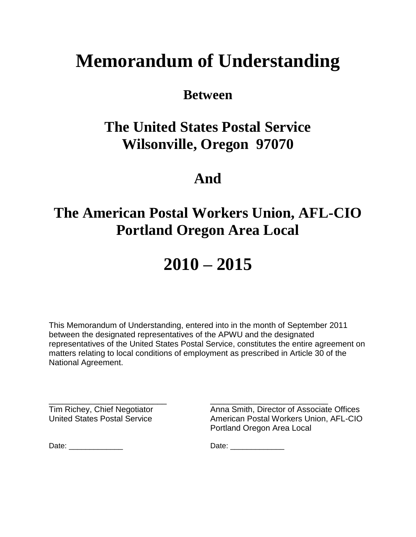# **Memorandum of Understanding**

### **Between**

### **The United States Postal Service Wilsonville, Oregon 97070**

### **And**

## **The American Postal Workers Union, AFL-CIO Portland Oregon Area Local**

# **2010 – 2015**

This Memorandum of Understanding, entered into in the month of September 2011 between the designated representatives of the APWU and the designated representatives of the United States Postal Service, constitutes the entire agreement on matters relating to local conditions of employment as prescribed in Article 30 of the National Agreement.

\_\_\_\_\_\_\_\_\_\_\_\_\_\_\_\_\_\_\_\_\_\_\_\_\_\_ \_\_\_\_\_\_\_\_\_\_\_\_\_\_\_\_\_\_\_\_\_\_\_\_\_\_

Tim Richey, Chief Negotiator **Anna Smith, Director of Associate Offices**<br>
United States Postal Service **Anna American Postal Workers Union, AFL-CIC** American Postal Workers Union, AFL-CIO Portland Oregon Area Local

Date: \_\_\_\_\_\_\_\_\_\_\_\_\_ Date: \_\_\_\_\_\_\_\_\_\_\_\_\_

| Date: |
|-------|
|-------|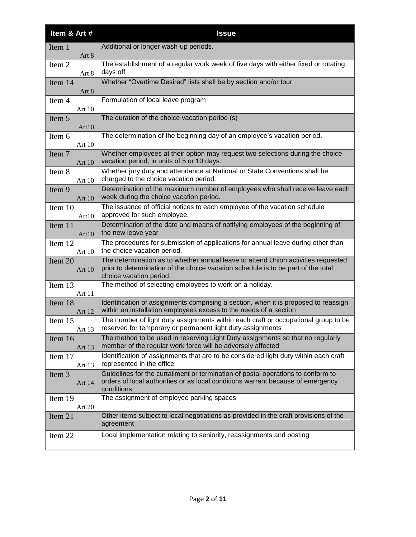| Item & Art #      | <b>Issue</b>                                                                                                                                                                                      |
|-------------------|---------------------------------------------------------------------------------------------------------------------------------------------------------------------------------------------------|
| Item 1<br>Art 8   | Additional or longer wash-up periods.                                                                                                                                                             |
| Item 2<br>Art 8   | The establishment of a regular work week of five days with either fixed or rotating<br>days off                                                                                                   |
| Item 14<br>Art 8  | Whether "Overtime Desired" lists shall be by section and/or tour                                                                                                                                  |
| Item 4<br>Art 10  | Formulation of local leave program                                                                                                                                                                |
| Item 5<br>Art10   | The duration of the choice vacation period (s)                                                                                                                                                    |
| Item 6<br>Art 10  | The determination of the beginning day of an employee's vacation period.                                                                                                                          |
| Item 7<br>Art 10  | Whether employees at their option may request two selections during the choice<br>vacation period, in units of 5 or 10 days.                                                                      |
| Item 8<br>Art 10  | Whether jury duty and attendance at National or State Conventions shall be<br>charged to the choice vacation period.                                                                              |
| Item 9<br>Art 10  | Determination of the maximum number of employees who shall receive leave each<br>week during the choice vacation period.                                                                          |
| Item 10<br>Art10  | The issuance of official notices to each employee of the vacation schedule<br>approved for such employee.                                                                                         |
| Item 11<br>Art10  | Determination of the date and means of notifying employees of the beginning of<br>the new leave year                                                                                              |
| Item 12<br>Art 10 | The procedures for submission of applications for annual leave during other than<br>the choice vacation period.                                                                                   |
| Item 20<br>Art 10 | The determination as to whether annual leave to attend Union activities requested<br>prior to determination of the choice vacation schedule is to be part of the total<br>choice vacation period. |
| Item 13<br>Art 11 | The method of selecting employees to work on a holiday.                                                                                                                                           |
| Item 18<br>Art 12 | Identification of assignments comprising a section, when it is proposed to reassign<br>within an installation employees excess to the needs of a section                                          |
| Item 15<br>Art 13 | The number of light duty assignments within each craft or occupational group to be<br>reserved for temporary or permanent light duty assignments                                                  |
| Item 16<br>Art 13 | The method to be used in reserving Light Duty assignments so that no regularly<br>member of the regular work force will be adversely affected                                                     |
| Item 17<br>Art 13 | Identification of assignments that are to be considered light duty within each craft<br>represented in the office                                                                                 |
| Item 3<br>Art 14  | Guidelines for the curtailment or termination of postal operations to conform to<br>orders of local authorities or as local conditions warrant because of emergency<br>conditions                 |
| Item 19<br>Art 20 | The assignment of employee parking spaces                                                                                                                                                         |
| Item 21           | Other items subject to local negotiations as provided in the craft provisions of the<br>agreement                                                                                                 |
| Item 22           | Local implementation relating to seniority, reassignments and posting                                                                                                                             |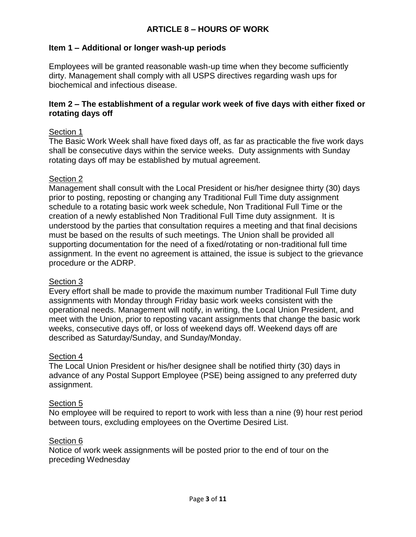#### **ARTICLE 8 – HOURS OF WORK**

#### **Item 1 – Additional or longer wash-up periods**

Employees will be granted reasonable wash-up time when they become sufficiently dirty. Management shall comply with all USPS directives regarding wash ups for biochemical and infectious disease.

#### **Item 2 – The establishment of a regular work week of five days with either fixed or rotating days off**

#### Section 1

The Basic Work Week shall have fixed days off, as far as practicable the five work days shall be consecutive days within the service weeks. Duty assignments with Sunday rotating days off may be established by mutual agreement.

#### Section 2

Management shall consult with the Local President or his/her designee thirty (30) days prior to posting, reposting or changing any Traditional Full Time duty assignment schedule to a rotating basic work week schedule, Non Traditional Full Time or the creation of a newly established Non Traditional Full Time duty assignment. It is understood by the parties that consultation requires a meeting and that final decisions must be based on the results of such meetings. The Union shall be provided all supporting documentation for the need of a fixed/rotating or non-traditional full time assignment. In the event no agreement is attained, the issue is subject to the grievance procedure or the ADRP.

#### Section 3

Every effort shall be made to provide the maximum number Traditional Full Time duty assignments with Monday through Friday basic work weeks consistent with the operational needs. Management will notify, in writing, the Local Union President, and meet with the Union, prior to reposting vacant assignments that change the basic work weeks, consecutive days off, or loss of weekend days off. Weekend days off are described as Saturday/Sunday, and Sunday/Monday.

#### Section 4

The Local Union President or his/her designee shall be notified thirty (30) days in advance of any Postal Support Employee (PSE) being assigned to any preferred duty assignment.

#### Section 5

No employee will be required to report to work with less than a nine (9) hour rest period between tours, excluding employees on the Overtime Desired List.

#### Section 6

Notice of work week assignments will be posted prior to the end of tour on the preceding Wednesday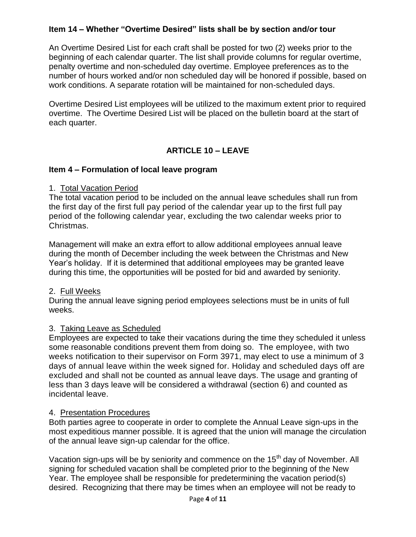#### **Item 14 – Whether "Overtime Desired" lists shall be by section and/or tour**

An Overtime Desired List for each craft shall be posted for two (2) weeks prior to the beginning of each calendar quarter. The list shall provide columns for regular overtime, penalty overtime and non-scheduled day overtime. Employee preferences as to the number of hours worked and/or non scheduled day will be honored if possible, based on work conditions. A separate rotation will be maintained for non-scheduled days.

Overtime Desired List employees will be utilized to the maximum extent prior to required overtime. The Overtime Desired List will be placed on the bulletin board at the start of each quarter.

#### **ARTICLE 10 – LEAVE**

#### **Item 4 – Formulation of local leave program**

#### 1. Total Vacation Period

The total vacation period to be included on the annual leave schedules shall run from the first day of the first full pay period of the calendar year up to the first full pay period of the following calendar year, excluding the two calendar weeks prior to Christmas.

Management will make an extra effort to allow additional employees annual leave during the month of December including the week between the Christmas and New Year's holiday. If it is determined that additional employees may be granted leave during this time, the opportunities will be posted for bid and awarded by seniority.

#### 2. Full Weeks

During the annual leave signing period employees selections must be in units of full weeks.

#### 3. Taking Leave as Scheduled

Employees are expected to take their vacations during the time they scheduled it unless some reasonable conditions prevent them from doing so. The employee, with two weeks notification to their supervisor on Form 3971, may elect to use a minimum of 3 days of annual leave within the week signed for. Holiday and scheduled days off are excluded and shall not be counted as annual leave days. The usage and granting of less than 3 days leave will be considered a withdrawal (section 6) and counted as incidental leave.

#### 4. Presentation Procedures

Both parties agree to cooperate in order to complete the Annual Leave sign-ups in the most expeditious manner possible. It is agreed that the union will manage the circulation of the annual leave sign-up calendar for the office.

Vacation sign-ups will be by seniority and commence on the 15<sup>th</sup> day of November. All signing for scheduled vacation shall be completed prior to the beginning of the New Year. The employee shall be responsible for predetermining the vacation period(s) desired. Recognizing that there may be times when an employee will not be ready to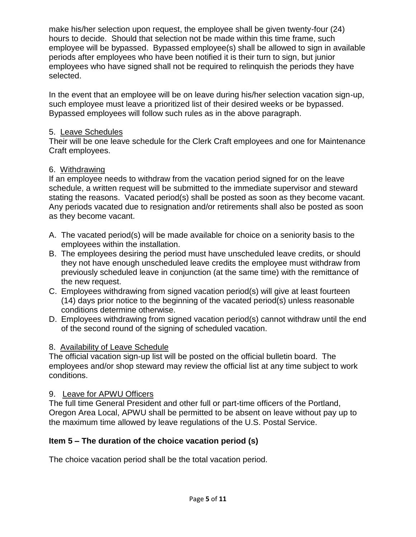make his/her selection upon request, the employee shall be given twenty-four (24) hours to decide. Should that selection not be made within this time frame, such employee will be bypassed. Bypassed employee(s) shall be allowed to sign in available periods after employees who have been notified it is their turn to sign, but junior employees who have signed shall not be required to relinquish the periods they have selected.

In the event that an employee will be on leave during his/her selection vacation sign-up, such employee must leave a prioritized list of their desired weeks or be bypassed. Bypassed employees will follow such rules as in the above paragraph.

#### 5. Leave Schedules

Their will be one leave schedule for the Clerk Craft employees and one for Maintenance Craft employees.

#### 6. Withdrawing

If an employee needs to withdraw from the vacation period signed for on the leave schedule, a written request will be submitted to the immediate supervisor and steward stating the reasons. Vacated period(s) shall be posted as soon as they become vacant. Any periods vacated due to resignation and/or retirements shall also be posted as soon as they become vacant.

- A. The vacated period(s) will be made available for choice on a seniority basis to the employees within the installation.
- B. The employees desiring the period must have unscheduled leave credits, or should they not have enough unscheduled leave credits the employee must withdraw from previously scheduled leave in conjunction (at the same time) with the remittance of the new request.
- C. Employees withdrawing from signed vacation period(s) will give at least fourteen (14) days prior notice to the beginning of the vacated period(s) unless reasonable conditions determine otherwise.
- D. Employees withdrawing from signed vacation period(s) cannot withdraw until the end of the second round of the signing of scheduled vacation.

#### 8. Availability of Leave Schedule

The official vacation sign-up list will be posted on the official bulletin board. The employees and/or shop steward may review the official list at any time subject to work conditions.

#### 9. Leave for APWU Officers

The full time General President and other full or part-time officers of the Portland, Oregon Area Local, APWU shall be permitted to be absent on leave without pay up to the maximum time allowed by leave regulations of the U.S. Postal Service.

#### **Item 5 – The duration of the choice vacation period (s)**

The choice vacation period shall be the total vacation period.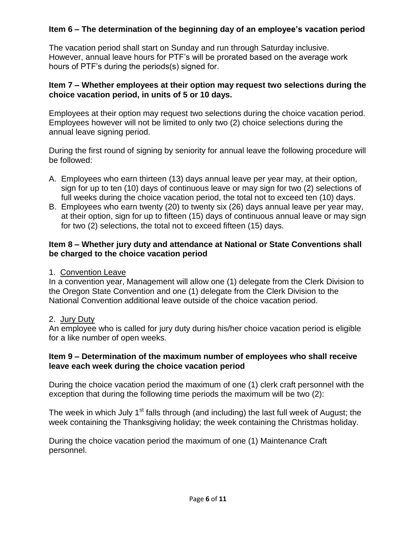#### **Item 6 – The determination of the beginning day of an employee's vacation period**

The vacation period shall start on Sunday and run through Saturday inclusive. However, annual leave hours for PTF's will be prorated based on the average work hours of PTF's during the periods(s) signed for.

#### **Item 7 – Whether employees at their option may request two selections during the choice vacation period, in units of 5 or 10 days.**

Employees at their option may request two selections during the choice vacation period. Employees however will not be limited to only two (2) choice selections during the annual leave signing period.

During the first round of signing by seniority for annual leave the following procedure will be followed:

- A. Employees who earn thirteen (13) days annual leave per year may, at their option, sign for up to ten (10) days of continuous leave or may sign for two (2) selections of full weeks during the choice vacation period, the total not to exceed ten (10) days.
- B. Employees who earn twenty (20) to twenty six (26) days annual leave per year may, at their option, sign for up to fifteen (15) days of continuous annual leave or may sign for two (2) selections, the total not to exceed fifteen (15) days.

#### **Item 8 – Whether jury duty and attendance at National or State Conventions shall be charged to the choice vacation period**

1. Convention Leave

In a convention year, Management will allow one (1) delegate from the Clerk Division to the Oregon State Convention and one (1) delegate from the Clerk Division to the National Convention additional leave outside of the choice vacation period.

#### 2. Jury Duty

An employee who is called for jury duty during his/her choice vacation period is eligible for a like number of open weeks.

#### **Item 9 – Determination of the maximum number of employees who shall receive leave each week during the choice vacation period**

During the choice vacation period the maximum of one (1) clerk craft personnel with the exception that during the following time periods the maximum will be two (2):

The week in which July 1<sup>st</sup> falls through (and including) the last full week of August; the week containing the Thanksgiving holiday; the week containing the Christmas holiday.

During the choice vacation period the maximum of one (1) Maintenance Craft personnel.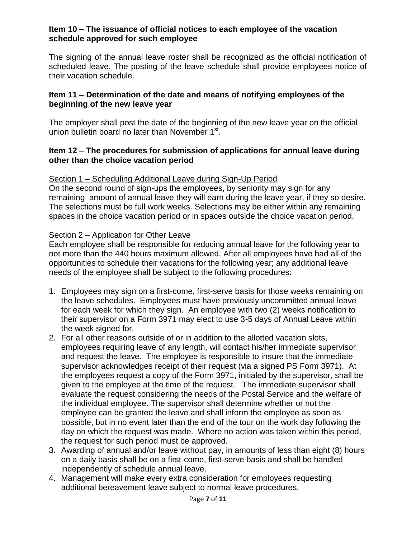#### **Item 10 – The issuance of official notices to each employee of the vacation schedule approved for such employee**

The signing of the annual leave roster shall be recognized as the official notification of scheduled leave. The posting of the leave schedule shall provide employees notice of their vacation schedule.

#### **Item 11 – Determination of the date and means of notifying employees of the beginning of the new leave year**

The employer shall post the date of the beginning of the new leave year on the official union bulletin board no later than November 1<sup>st</sup>.

#### **Item 12 – The procedures for submission of applications for annual leave during other than the choice vacation period**

#### Section 1 – Scheduling Additional Leave during Sign-Up Period

On the second round of sign-ups the employees, by seniority may sign for any remaining amount of annual leave they will earn during the leave year, if they so desire. The selections must be full work weeks. Selections may be either within any remaining spaces in the choice vacation period or in spaces outside the choice vacation period.

#### Section 2 – Application for Other Leave

Each employee shall be responsible for reducing annual leave for the following year to not more than the 440 hours maximum allowed. After all employees have had all of the opportunities to schedule their vacations for the following year; any additional leave needs of the employee shall be subject to the following procedures:

- 1. Employees may sign on a first-come, first-serve basis for those weeks remaining on the leave schedules. Employees must have previously uncommitted annual leave for each week for which they sign. An employee with two (2) weeks notification to their supervisor on a Form 3971 may elect to use 3-5 days of Annual Leave within the week signed for.
- 2. For all other reasons outside of or in addition to the allotted vacation slots, employees requiring leave of any length, will contact his/her immediate supervisor and request the leave. The employee is responsible to insure that the immediate supervisor acknowledges receipt of their request (via a signed PS Form 3971). At the employees request a copy of the Form 3971, initialed by the supervisor, shall be given to the employee at the time of the request. The immediate supervisor shall evaluate the request considering the needs of the Postal Service and the welfare of the individual employee. The supervisor shall determine whether or not the employee can be granted the leave and shall inform the employee as soon as possible, but in no event later than the end of the tour on the work day following the day on which the request was made. Where no action was taken within this period, the request for such period must be approved.
- 3. Awarding of annual and/or leave without pay, in amounts of less than eight (8) hours on a daily basis shall be on a first-come, first-serve basis and shall be handled independently of schedule annual leave.
- 4. Management will make every extra consideration for employees requesting additional bereavement leave subject to normal leave procedures.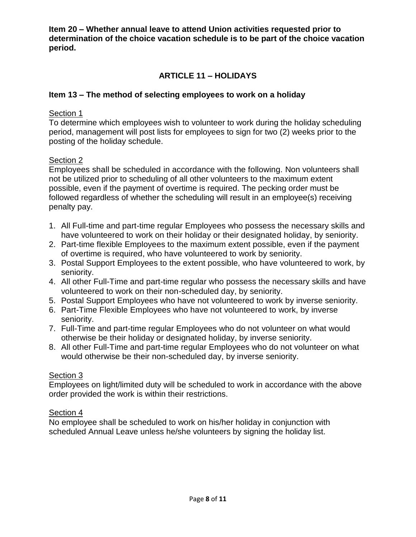**Item 20 – Whether annual leave to attend Union activities requested prior to determination of the choice vacation schedule is to be part of the choice vacation period.**

#### **ARTICLE 11 – HOLIDAYS**

#### **Item 13 – The method of selecting employees to work on a holiday**

#### Section 1

To determine which employees wish to volunteer to work during the holiday scheduling period, management will post lists for employees to sign for two (2) weeks prior to the posting of the holiday schedule.

#### Section 2

Employees shall be scheduled in accordance with the following. Non volunteers shall not be utilized prior to scheduling of all other volunteers to the maximum extent possible, even if the payment of overtime is required. The pecking order must be followed regardless of whether the scheduling will result in an employee(s) receiving penalty pay.

- 1. All Full-time and part-time regular Employees who possess the necessary skills and have volunteered to work on their holiday or their designated holiday, by seniority.
- 2. Part-time flexible Employees to the maximum extent possible, even if the payment of overtime is required, who have volunteered to work by seniority.
- 3. Postal Support Employees to the extent possible, who have volunteered to work, by seniority.
- 4. All other Full-Time and part-time regular who possess the necessary skills and have volunteered to work on their non-scheduled day, by seniority.
- 5. Postal Support Employees who have not volunteered to work by inverse seniority.
- 6. Part-Time Flexible Employees who have not volunteered to work, by inverse seniority.
- 7. Full-Time and part-time regular Employees who do not volunteer on what would otherwise be their holiday or designated holiday, by inverse seniority.
- 8. All other Full-Time and part-time regular Employees who do not volunteer on what would otherwise be their non-scheduled day, by inverse seniority.

#### Section 3

Employees on light/limited duty will be scheduled to work in accordance with the above order provided the work is within their restrictions.

#### Section 4

No employee shall be scheduled to work on his/her holiday in conjunction with scheduled Annual Leave unless he/she volunteers by signing the holiday list.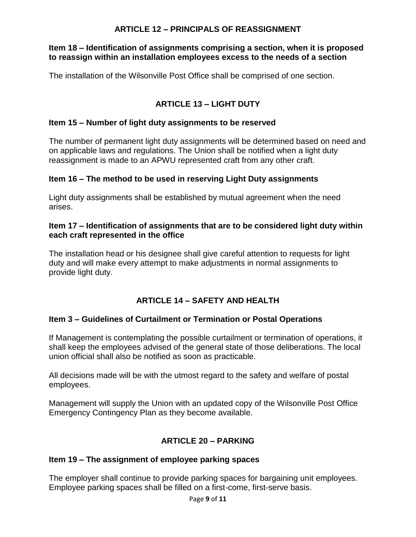#### **ARTICLE 12 – PRINCIPALS OF REASSIGNMENT**

#### **Item 18 – Identification of assignments comprising a section, when it is proposed to reassign within an installation employees excess to the needs of a section**

The installation of the Wilsonville Post Office shall be comprised of one section.

#### **ARTICLE 13 – LIGHT DUTY**

#### **Item 15 – Number of light duty assignments to be reserved**

The number of permanent light duty assignments will be determined based on need and on applicable laws and regulations. The Union shall be notified when a light duty reassignment is made to an APWU represented craft from any other craft.

#### **Item 16 – The method to be used in reserving Light Duty assignments**

Light duty assignments shall be established by mutual agreement when the need arises.

#### **Item 17 – Identification of assignments that are to be considered light duty within each craft represented in the office**

The installation head or his designee shall give careful attention to requests for light duty and will make every attempt to make adjustments in normal assignments to provide light duty.

#### **ARTICLE 14 – SAFETY AND HEALTH**

#### **Item 3 – Guidelines of Curtailment or Termination or Postal Operations**

If Management is contemplating the possible curtailment or termination of operations, it shall keep the employees advised of the general state of those deliberations. The local union official shall also be notified as soon as practicable.

All decisions made will be with the utmost regard to the safety and welfare of postal employees.

Management will supply the Union with an updated copy of the Wilsonville Post Office Emergency Contingency Plan as they become available.

#### **ARTICLE 20 – PARKING**

#### **Item 19 – The assignment of employee parking spaces**

The employer shall continue to provide parking spaces for bargaining unit employees. Employee parking spaces shall be filled on a first-come, first-serve basis.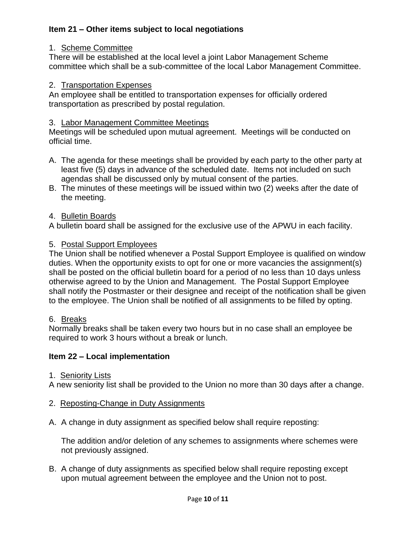#### **Item 21 – Other items subject to local negotiations**

#### 1. Scheme Committee

There will be established at the local level a joint Labor Management Scheme committee which shall be a sub-committee of the local Labor Management Committee.

#### 2. Transportation Expenses

An employee shall be entitled to transportation expenses for officially ordered transportation as prescribed by postal regulation.

#### 3. Labor Management Committee Meetings

Meetings will be scheduled upon mutual agreement. Meetings will be conducted on official time.

- A. The agenda for these meetings shall be provided by each party to the other party at least five (5) days in advance of the scheduled date. Items not included on such agendas shall be discussed only by mutual consent of the parties.
- B. The minutes of these meetings will be issued within two (2) weeks after the date of the meeting.

#### 4. Bulletin Boards

A bulletin board shall be assigned for the exclusive use of the APWU in each facility.

#### 5. Postal Support Employees

The Union shall be notified whenever a Postal Support Employee is qualified on window duties. When the opportunity exists to opt for one or more vacancies the assignment(s) shall be posted on the official bulletin board for a period of no less than 10 days unless otherwise agreed to by the Union and Management. The Postal Support Employee shall notify the Postmaster or their designee and receipt of the notification shall be given to the employee. The Union shall be notified of all assignments to be filled by opting.

#### 6. Breaks

Normally breaks shall be taken every two hours but in no case shall an employee be required to work 3 hours without a break or lunch.

#### **Item 22 – Local implementation**

#### 1. Seniority Lists

A new seniority list shall be provided to the Union no more than 30 days after a change.

- 2. Reposting-Change in Duty Assignments
- A. A change in duty assignment as specified below shall require reposting:

The addition and/or deletion of any schemes to assignments where schemes were not previously assigned.

B. A change of duty assignments as specified below shall require reposting except upon mutual agreement between the employee and the Union not to post.